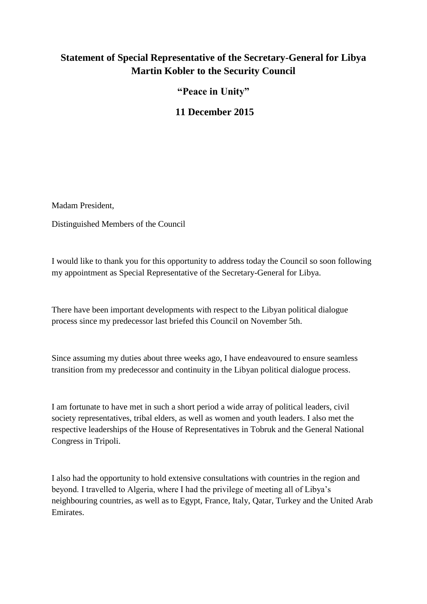## **Statement of Special Representative of the Secretary-General for Libya Martin Kobler to the Security Council**

**"Peace in Unity"** 

**11 December 2015**

Madam President,

Distinguished Members of the Council

I would like to thank you for this opportunity to address today the Council so soon following my appointment as Special Representative of the Secretary-General for Libya.

There have been important developments with respect to the Libyan political dialogue process since my predecessor last briefed this Council on November 5th.

Since assuming my duties about three weeks ago, I have endeavoured to ensure seamless transition from my predecessor and continuity in the Libyan political dialogue process.

I am fortunate to have met in such a short period a wide array of political leaders, civil society representatives, tribal elders, as well as women and youth leaders. I also met the respective leaderships of the House of Representatives in Tobruk and the General National Congress in Tripoli.

I also had the opportunity to hold extensive consultations with countries in the region and beyond. I travelled to Algeria, where I had the privilege of meeting all of Libya's neighbouring countries, as well as to Egypt, France, Italy, Qatar, Turkey and the United Arab Emirates.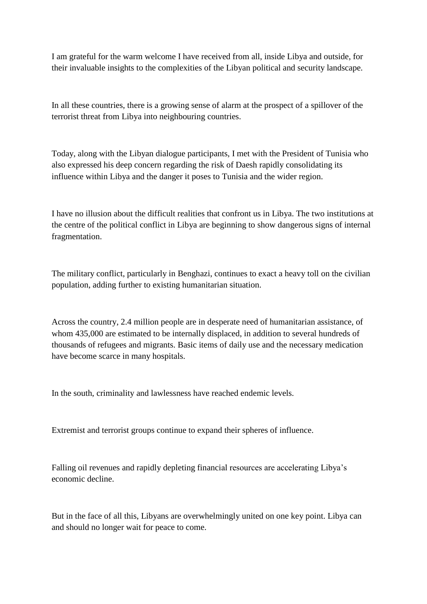I am grateful for the warm welcome I have received from all, inside Libya and outside, for their invaluable insights to the complexities of the Libyan political and security landscape.

In all these countries, there is a growing sense of alarm at the prospect of a spillover of the terrorist threat from Libya into neighbouring countries.

Today, along with the Libyan dialogue participants, I met with the President of Tunisia who also expressed his deep concern regarding the risk of Daesh rapidly consolidating its influence within Libya and the danger it poses to Tunisia and the wider region.

I have no illusion about the difficult realities that confront us in Libya. The two institutions at the centre of the political conflict in Libya are beginning to show dangerous signs of internal fragmentation.

The military conflict, particularly in Benghazi, continues to exact a heavy toll on the civilian population, adding further to existing humanitarian situation.

Across the country, 2.4 million people are in desperate need of humanitarian assistance, of whom 435,000 are estimated to be internally displaced, in addition to several hundreds of thousands of refugees and migrants. Basic items of daily use and the necessary medication have become scarce in many hospitals.

In the south, criminality and lawlessness have reached endemic levels.

Extremist and terrorist groups continue to expand their spheres of influence.

Falling oil revenues and rapidly depleting financial resources are accelerating Libya's economic decline.

But in the face of all this, Libyans are overwhelmingly united on one key point. Libya can and should no longer wait for peace to come.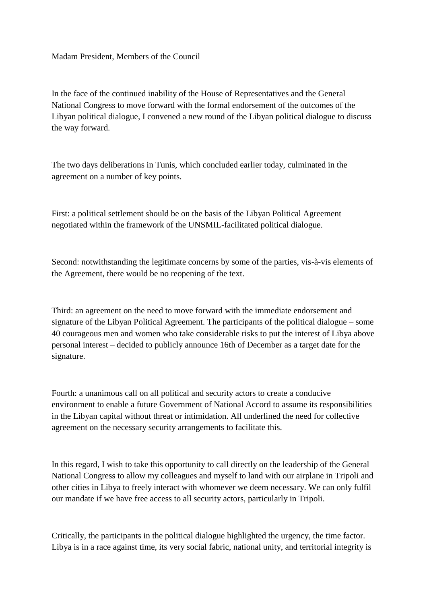## Madam President, Members of the Council

In the face of the continued inability of the House of Representatives and the General National Congress to move forward with the formal endorsement of the outcomes of the Libyan political dialogue, I convened a new round of the Libyan political dialogue to discuss the way forward.

The two days deliberations in Tunis, which concluded earlier today, culminated in the agreement on a number of key points.

First: a political settlement should be on the basis of the Libyan Political Agreement negotiated within the framework of the UNSMIL-facilitated political dialogue.

Second: notwithstanding the legitimate concerns by some of the parties, vis-à-vis elements of the Agreement, there would be no reopening of the text.

Third: an agreement on the need to move forward with the immediate endorsement and signature of the Libyan Political Agreement. The participants of the political dialogue – some 40 courageous men and women who take considerable risks to put the interest of Libya above personal interest – decided to publicly announce 16th of December as a target date for the signature.

Fourth: a unanimous call on all political and security actors to create a conducive environment to enable a future Government of National Accord to assume its responsibilities in the Libyan capital without threat or intimidation. All underlined the need for collective agreement on the necessary security arrangements to facilitate this.

In this regard, I wish to take this opportunity to call directly on the leadership of the General National Congress to allow my colleagues and myself to land with our airplane in Tripoli and other cities in Libya to freely interact with whomever we deem necessary. We can only fulfil our mandate if we have free access to all security actors, particularly in Tripoli.

Critically, the participants in the political dialogue highlighted the urgency, the time factor. Libya is in a race against time, its very social fabric, national unity, and territorial integrity is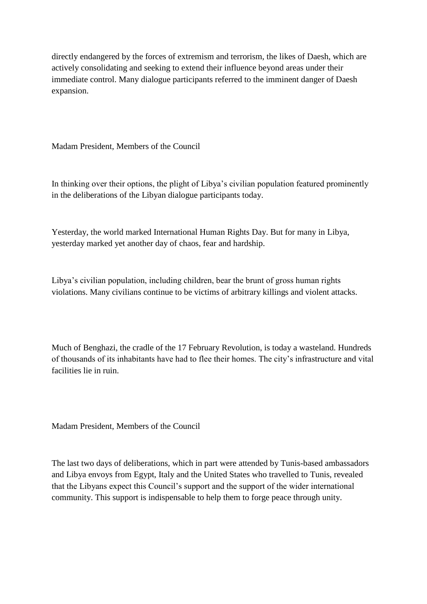directly endangered by the forces of extremism and terrorism, the likes of Daesh, which are actively consolidating and seeking to extend their influence beyond areas under their immediate control. Many dialogue participants referred to the imminent danger of Daesh expansion.

Madam President, Members of the Council

In thinking over their options, the plight of Libya's civilian population featured prominently in the deliberations of the Libyan dialogue participants today.

Yesterday, the world marked International Human Rights Day. But for many in Libya, yesterday marked yet another day of chaos, fear and hardship.

Libya's civilian population, including children, bear the brunt of gross human rights violations. Many civilians continue to be victims of arbitrary killings and violent attacks.

Much of Benghazi, the cradle of the 17 February Revolution, is today a wasteland. Hundreds of thousands of its inhabitants have had to flee their homes. The city's infrastructure and vital facilities lie in ruin.

Madam President, Members of the Council

The last two days of deliberations, which in part were attended by Tunis-based ambassadors and Libya envoys from Egypt, Italy and the United States who travelled to Tunis, revealed that the Libyans expect this Council's support and the support of the wider international community. This support is indispensable to help them to forge peace through unity.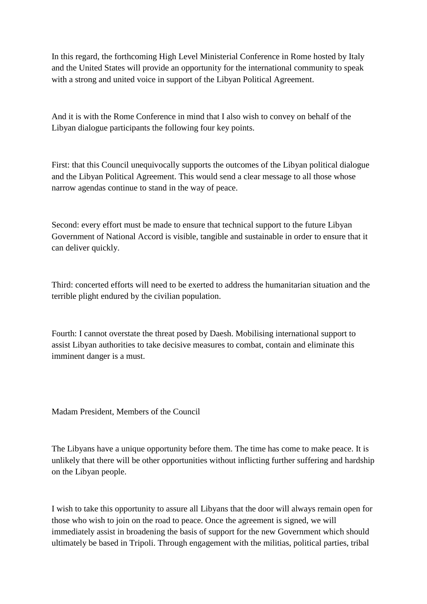In this regard, the forthcoming High Level Ministerial Conference in Rome hosted by Italy and the United States will provide an opportunity for the international community to speak with a strong and united voice in support of the Libyan Political Agreement.

And it is with the Rome Conference in mind that I also wish to convey on behalf of the Libyan dialogue participants the following four key points.

First: that this Council unequivocally supports the outcomes of the Libyan political dialogue and the Libyan Political Agreement. This would send a clear message to all those whose narrow agendas continue to stand in the way of peace.

Second: every effort must be made to ensure that technical support to the future Libyan Government of National Accord is visible, tangible and sustainable in order to ensure that it can deliver quickly.

Third: concerted efforts will need to be exerted to address the humanitarian situation and the terrible plight endured by the civilian population.

Fourth: I cannot overstate the threat posed by Daesh. Mobilising international support to assist Libyan authorities to take decisive measures to combat, contain and eliminate this imminent danger is a must.

Madam President, Members of the Council

The Libyans have a unique opportunity before them. The time has come to make peace. It is unlikely that there will be other opportunities without inflicting further suffering and hardship on the Libyan people.

I wish to take this opportunity to assure all Libyans that the door will always remain open for those who wish to join on the road to peace. Once the agreement is signed, we will immediately assist in broadening the basis of support for the new Government which should ultimately be based in Tripoli. Through engagement with the militias, political parties, tribal